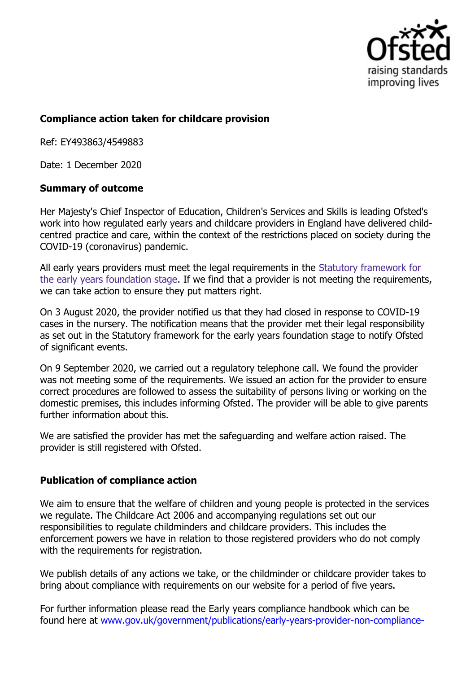

## **Compliance action taken for childcare provision**

Ref: EY493863/4549883

Date: 1 December 2020

## **Summary of outcome**

Her Majesty's Chief Inspector of Education, Children's Services and Skills is leading Ofsted's work into how regulated early years and childcare providers in England have delivered childcentred practice and care, within the context of the restrictions placed on society during the COVID-19 (coronavirus) pandemic.

All early years providers must meet the legal requirements in the Statutory framework for the early years foundation stage. If we find that a provider is not meeting the requirements, we can take action to ensure they put matters right.

On 3 August 2020, the provider notified us that they had closed in response to COVID-19 cases in the nursery. The notification means that the provider met their legal responsibility as set out in the Statutory framework for the early years foundation stage to notify Ofsted of significant events.

On 9 September 2020, we carried out a regulatory telephone call. We found the provider was not meeting some of the requirements. We issued an action for the provider to ensure correct procedures are followed to assess the suitability of persons living or working on the domestic premises, this includes informing Ofsted. The provider will be able to give parents further information about this.

We are satisfied the provider has met the safeguarding and welfare action raised. The provider is still registered with Ofsted.

## **Publication of compliance action**

We aim to ensure that the welfare of children and young people is protected in the services we regulate. The Childcare Act 2006 and accompanying regulations set out our responsibilities to regulate childminders and childcare providers. This includes the enforcement powers we have in relation to those registered providers who do not comply with the requirements for registration.

We publish details of any actions we take, or the childminder or childcare provider takes to bring about compliance with requirements on our website for a period of five years.

For further information please read the Early years compliance handbook which can be found here at [www.gov.uk/government/publications/early-years-provider-non-compliance-](http://www.gov.uk/government/publications/early-years-provider-non-compliance-action-by-ofsted)